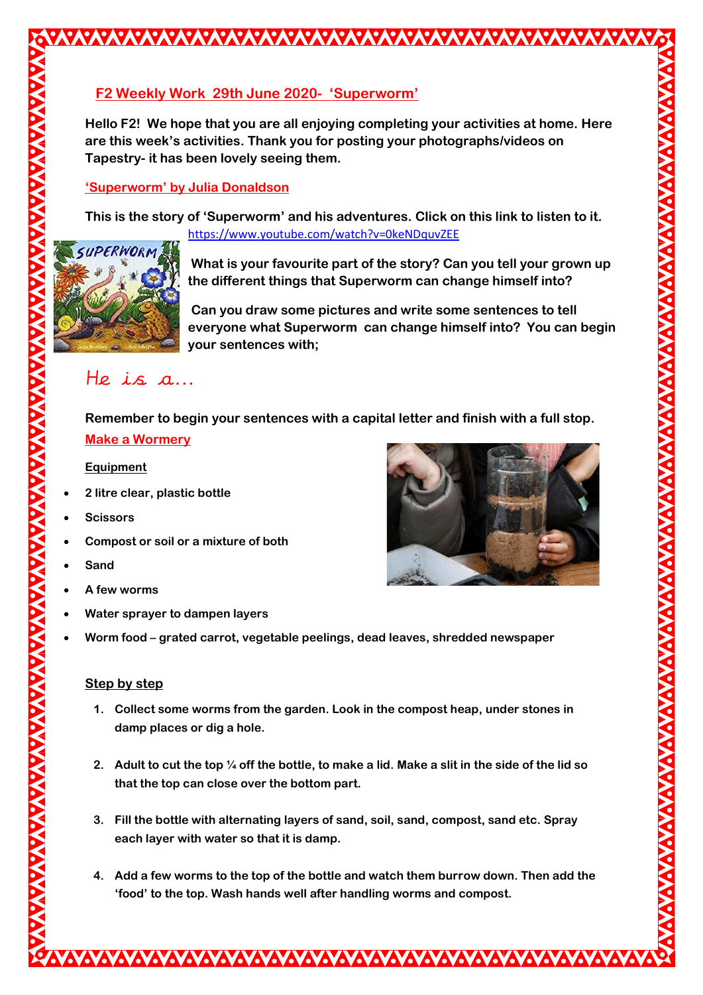# **F2 Weekly Work 29th June 2020- 'Superworm'**

**Hello F2! We hope that you are all enjoying completing your activities at home. Here are this week's activities. Thank you for posting your photographs/videos on Tapestry- it has been lovely seeing them.**

### **'Superworm' by Julia Donaldson**

**This is the story of 'Superworm' and his adventures. Click on this link to listen to it.** <https://www.youtube.com/watch?v=0keNDquvZEE>



**What is your favourite part of the story? Can you tell your grown up the different things that Superworm can change himself into?**

**Can you draw some pictures and write some sentences to tell everyone what Superworm can change himself into? You can begin your sentences with;**

# He is a...

**Remember to begin your sentences with a capital letter and finish with a full stop. Make a Wormery**

### **Equipment**

- **2 litre clear, plastic bottle**
- **Scissors**
- **Compost or soil or a mixture of both**
- **Sand**
- **A few worms**
- **Water sprayer to dampen layers**
- **Worm food – grated carrot, vegetable peelings, dead leaves, shredded newspaper**

### **Step by step**

- **1. Collect some worms from the garden. Look in the compost heap, under stones in damp places or dig a hole.**
- **2. Adult to cut the top ¼ off the bottle, to make a lid. Make a slit in the side of the lid so that the top can close over the bottom part.**
- **3. Fill the bottle with alternating layers of sand, soil, sand, compost, sand etc. Spray each layer with water so that it is damp.**
- **4. Add a few worms to the top of the bottle and watch them burrow down. Then add the 'food' to the top. Wash hands well after handling worms and compost.**

WWW.WWW.WWW.WWW.WWW.WWWWWWWWWWWWWW.WW

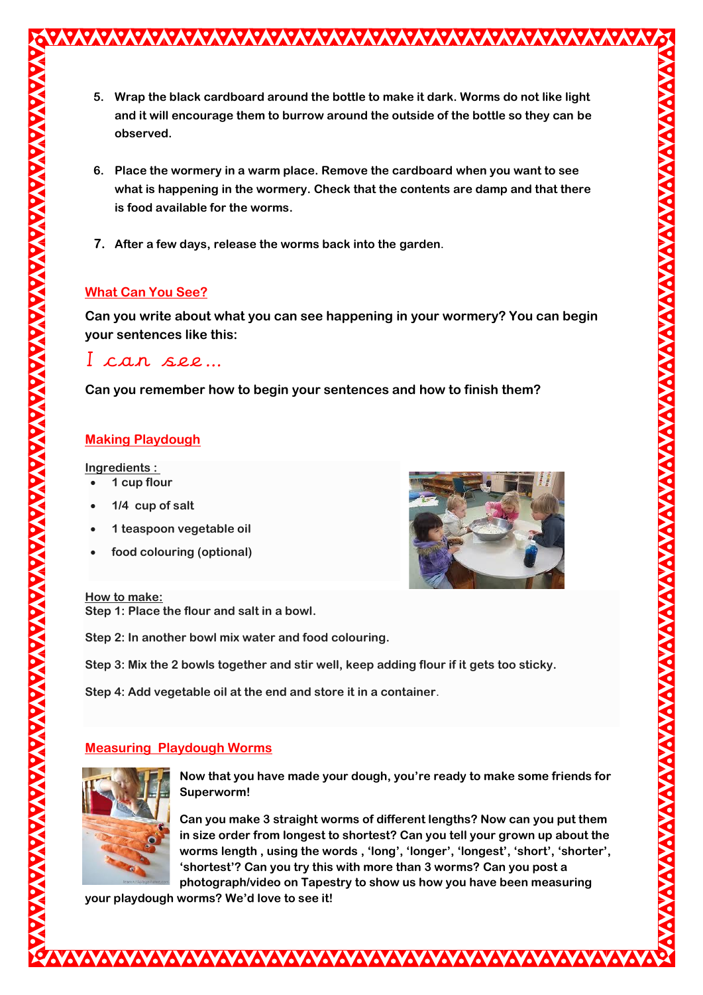**5. Wrap the black cardboard around the bottle to make it dark. Worms do not like light and it will encourage them to burrow around the outside of the bottle so they can be observed.**

- **6. Place the wormery in a warm place. Remove the cardboard when you want to see what is happening in the wormery. Check that the contents are damp and that there is food available for the worms.**
- **7. After a few days, release the worms back into the garden**.

# **What Can You See?**

**Can you write about what you can see happening in your wormery? You can begin your sentences like this:**

# I can see…

**Can you remember how to begin your sentences and how to finish them?**

# **Making Playdough**

#### **Ingredients :**

- **1 cup flour**
- **1/4 cup of salt**
- **1 teaspoon vegetable oil**
- **food colouring (optional)**



#### **How to make:**

**Step 1: Place the flour and salt in a bowl.**

**Step 2: In another bowl mix water and food colouring.**

**Step 3: Mix the 2 bowls together and stir well, keep adding flour if it gets too sticky.**

**Step 4: Add vegetable oil at the end and store it in a container**.

# **Measuring Playdough Worms**



**Now that you have made your dough, you're ready to make some friends for Superworm!**

**Can you make 3 straight worms of different lengths? Now can you put them in size order from longest to shortest? Can you tell your grown up about the worms length , using the words , 'long', 'longer', 'longest', 'short', 'shorter', 'shortest'? Can you try this with more than 3 worms? Can you post a photograph/video on Tapestry to show us how you have been measuring** 

**your playdough worms? We'd love to see it!**